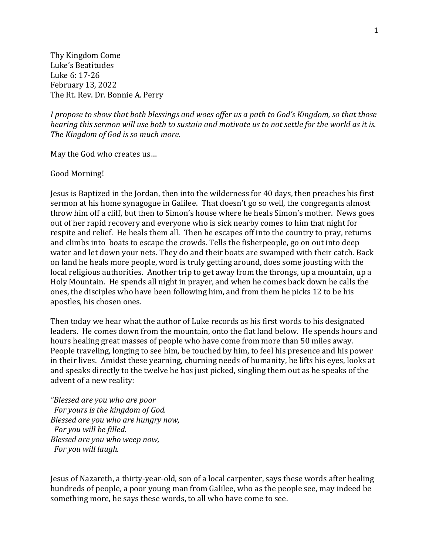Thy Kingdom Come Luke's Beatitudes Luke 6: 17-26 February 13, 2022 The Rt. Rev. Dr. Bonnie A. Perry

*I propose to show that both blessings and woes offer us a path to God's Kingdom, so that those hearing this sermon will use both to sustain and motivate us to not settle for the world as it is. The Kingdom of God is so much more.*

May the God who creates us…

## Good Morning!

Jesus is Baptized in the Jordan, then into the wilderness for 40 days, then preaches his first sermon at his home synagogue in Galilee. That doesn't go so well, the congregants almost throw him off a cliff, but then to Simon's house where he heals Simon's mother. News goes out of her rapid recovery and everyone who is sick nearby comes to him that night for respite and relief. He heals them all. Then he escapes off into the country to pray, returns and climbs into boats to escape the crowds. Tells the fisherpeople, go on out into deep water and let down your nets. They do and their boats are swamped with their catch. Back on land he heals more people, word is truly getting around, does some jousting with the local religious authorities. Another trip to get away from the throngs, up a mountain, up a Holy Mountain. He spends all night in prayer, and when he comes back down he calls the ones, the disciples who have been following him, and from them he picks 12 to be his apostles, his chosen ones.

Then today we hear what the author of Luke records as his first words to his designated leaders. He comes down from the mountain, onto the flat land below. He spends hours and hours healing great masses of people who have come from more than 50 miles away. People traveling, longing to see him, be touched by him, to feel his presence and his power in their lives. Amidst these yearning, churning needs of humanity, he lifts his eyes, looks at and speaks directly to the twelve he has just picked, singling them out as he speaks of the advent of a new reality:

*"Blessed are you who are poor For yours is the kingdom of God. Blessed are you who are hungry now, For you will be filled. Blessed are you who weep now, For you will laugh.* 

Jesus of Nazareth, a thirty-year-old, son of a local carpenter, says these words after healing hundreds of people, a poor young man from Galilee, who as the people see, may indeed be something more, he says these words, to all who have come to see.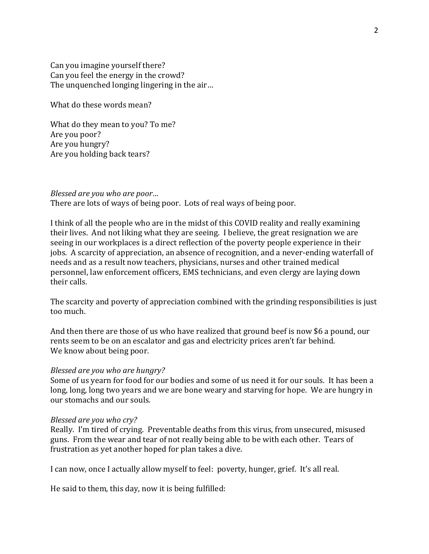Can you imagine yourself there? Can you feel the energy in the crowd? The unquenched longing lingering in the air…

What do these words mean?

What do they mean to you? To me? Are you poor? Are you hungry? Are you holding back tears?

*Blessed are you who are poor…*

There are lots of ways of being poor. Lots of real ways of being poor.

I think of all the people who are in the midst of this COVID reality and really examining their lives. And not liking what they are seeing. I believe, the great resignation we are seeing in our workplaces is a direct reflection of the poverty people experience in their jobs. A scarcity of appreciation, an absence of recognition, and a never-ending waterfall of needs and as a result now teachers, physicians, nurses and other trained medical personnel, law enforcement officers, EMS technicians, and even clergy are laying down their calls.

The scarcity and poverty of appreciation combined with the grinding responsibilities is just too much.

And then there are those of us who have realized that ground beef is now \$6 a pound, our rents seem to be on an escalator and gas and electricity prices aren't far behind. We know about being poor.

## *Blessed are you who are hungry?*

Some of us yearn for food for our bodies and some of us need it for our souls. It has been a long, long, long two years and we are bone weary and starving for hope. We are hungry in our stomachs and our souls.

## *Blessed are you who cry?*

Really. I'm tired of crying. Preventable deaths from this virus, from unsecured, misused guns. From the wear and tear of not really being able to be with each other. Tears of frustration as yet another hoped for plan takes a dive.

I can now, once I actually allow myself to feel: poverty, hunger, grief. It's all real.

He said to them, this day, now it is being fulfilled: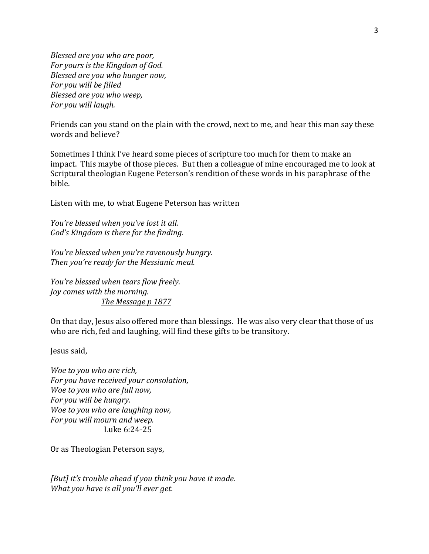*Blessed are you who are poor, For yours is the Kingdom of God. Blessed are you who hunger now, For you will be filled Blessed are you who weep, For you will laugh.*

Friends can you stand on the plain with the crowd, next to me, and hear this man say these words and believe?

Sometimes I think I've heard some pieces of scripture too much for them to make an impact. This maybe of those pieces. But then a colleague of mine encouraged me to look at Scriptural theologian Eugene Peterson's rendition of these words in his paraphrase of the bible.

Listen with me, to what Eugene Peterson has written

*You're blessed when you've lost it all. God's Kingdom is there for the finding.*

*You're blessed when you're ravenously hungry. Then you're ready for the Messianic meal.*

*You're blessed when tears flow freely. Joy comes with the morning. The Message p 1877*

On that day, Jesus also offered more than blessings. He was also very clear that those of us who are rich, fed and laughing, will find these gifts to be transitory.

Jesus said,

*Woe to you who are rich, For you have received your consolation, Woe to you who are full now, For you will be hungry. Woe to you who are laughing now, For you will mourn and weep.*  Luke 6:24-25

Or as Theologian Peterson says,

*[But] it's trouble ahead if you think you have it made. What you have is all you'll ever get.*